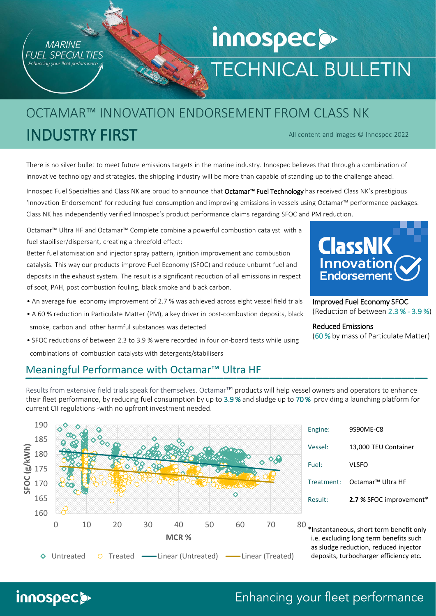

innospec<sup>o</sup>

# innospec<sub>.</sub> **TECHNICAL BULLETIN**

### All content and images © Innospec 2022 OCTAMAR™ INNOVATION ENDORSEMENT FROM CLASS NK INDUSTRY FIRST

There is no silver bullet to meet future emissions targets in the marine industry. Innospec believes that through a combination of innovative technology and strategies, the shipping industry will be more than capable of standing up to the challenge ahead.

Innospec Fuel Specialties and Class NK are proud to announce that Octamar™ Fuel Technology has received Class NK's prestigious 'Innovation Endorsement' for reducing fuel consumption and improving emissions in vessels using Octamar™ performance packages. Class NK has independently verified Innospec's product performance claims regarding SFOC and PM reduction.

Octamar™ Ultra HF and Octamar™ Complete combine a powerful combustion catalyst with a fuel stabiliser/dispersant, creating a threefold effect:

Better fuel atomisation and injector spray pattern, ignition improvement and combustion catalysis. This way our products improve Fuel Economy (SFOC) and reduce unburnt fuel and deposits in the exhaust system. The result is a significant reduction of all emissions in respect of soot, PAH, post combustion fouling, black smoke and black carbon.

- An average fuel economy improvement of 2.7 % was achieved across eight vessel field trials
- A 60 % reduction in Particulate Matter (PM), a key driver in post-combustion deposits, black smoke, carbon and other harmful substances was detected
- SFOC reductions of between 2.3 to 3.9 % were recorded in four on-board tests while using combinations of combustion catalysts with detergents/stabilisers



Results from extensive field trials speak for themselves. Octamar™ products will help vessel owners and operators to enhance their fleet performance, by reducing fuel consumption by up to 3.9 % and sludge up to 70 % providing a launching platform for current CII regulations -with no upfront investment needed.





Improved Fuel Economy SFOC (Reduction of between 2.3 % - 3.9 %)

#### Reduced Emissions

(60 % by mass of Particulate Matter)

| Result: | 2.7 % SFOC improvement*                  |
|---------|------------------------------------------|
|         | Treatment: Octamar <sup>™</sup> Ultra HF |
| Fuel:   | VLSFO                                    |
| Vessel: | 13,000 TEU Container                     |
| Engine: | 9S90ME-C8                                |

\*Instantaneous, short term benefit only i.e. excluding long term benefits such as sludge reduction, reduced injector deposits, turbocharger efficiency etc.

## Enhancing your fleet performance